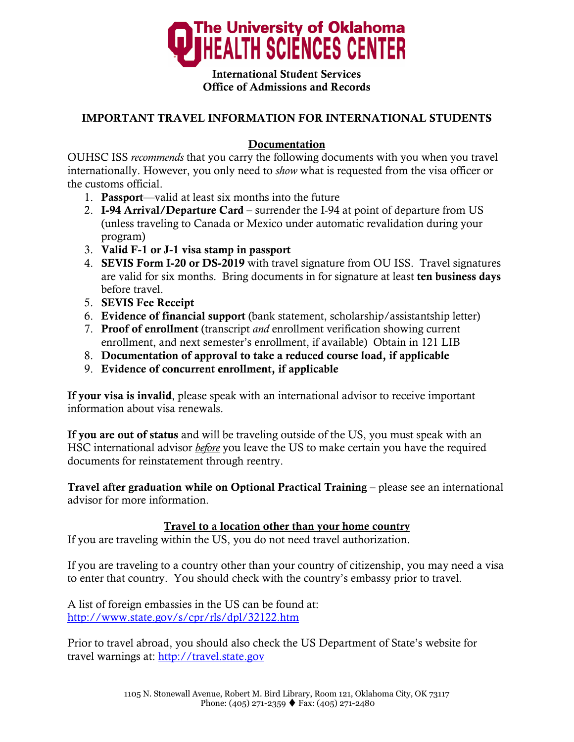

International Student Services Office of Admissions and Records

## IMPORTANT TRAVEL INFORMATION FOR INTERNATIONAL STUDENTS

## Documentation

OUHSC ISS *recommends* that you carry the following documents with you when you travel internationally. However, you only need to *show* what is requested from the visa officer or the customs official.

- 1. Passport—valid at least six months into the future
- 2. I-94 Arrival/Departure Card surrender the I-94 at point of departure from US (unless traveling to Canada or Mexico under automatic revalidation during your program)
- 3. Valid F-1 or J-1 visa stamp in passport
- 4. SEVIS Form I-20 or DS-2019 with travel signature from OU ISS. Travel signatures are valid for six months. Bring documents in for signature at least ten business days before travel.
- 5. SEVIS Fee Receipt
- 6. Evidence of financial support (bank statement, scholarship/assistantship letter)
- 7. Proof of enrollment (transcript *and* enrollment verification showing current enrollment, and next semester's enrollment, if available) Obtain in 121 LIB
- 8. Documentation of approval to take a reduced course load, if applicable
- 9. Evidence of concurrent enrollment, if applicable

If your visa is invalid, please speak with an international advisor to receive important information about visa renewals.

If you are out of status and will be traveling outside of the US, you must speak with an HSC international advisor *before* you leave the US to make certain you have the required documents for reinstatement through reentry.

Travel after graduation while on Optional Practical Training – please see an international advisor for more information.

## Travel to a location other than your home country

If you are traveling within the US, you do not need travel authorization.

If you are traveling to a country other than your country of citizenship, you may need a visa to enter that country. You should check with the country's embassy prior to travel.

A list of foreign embassies in the US can be found at: http://www.state.gov/s/cpr/rls/dpl/32122.htm

Prior to travel abroad, you should also check the US Department of State's website for travel warnings at: http://travel.state.gov